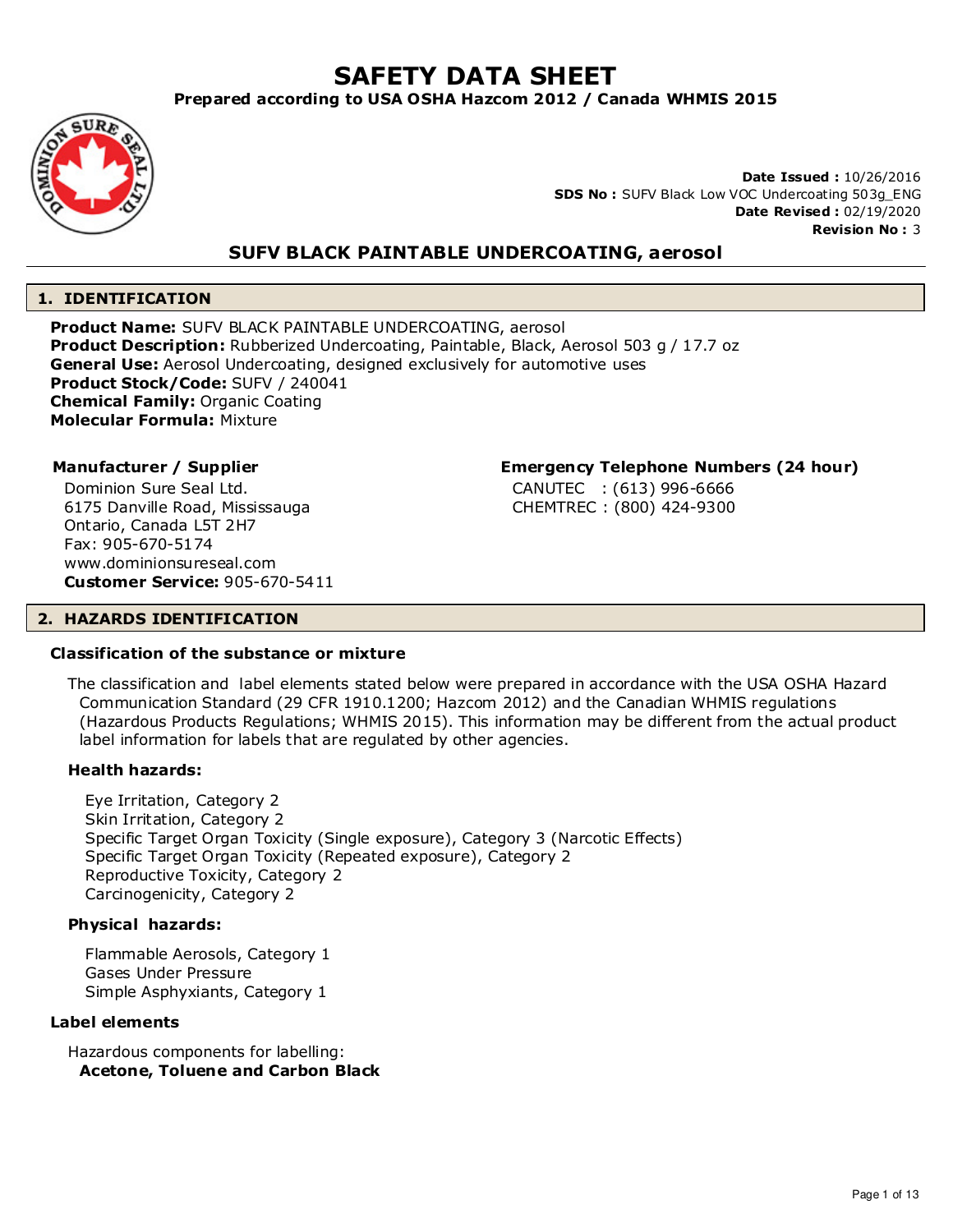# **SAFETY DATA SHEET**

## **Prepared according to USA OSHA Hazcom 2012 / Canada WHMIS 2015**



**Date Issued :** 10/26/2016 **SDS No :** SUFV Black Low VOC Undercoating 503g\_ENG **Date Revised :** 02/19/2020 **Revision No :** 3

## **SUFV BLACK PAINTABLE UNDERCOATING, aerosol**

## **1. IDENTIFICATION**

**Product Name:** SUFV BLACK PAINTABLE UNDERCOATING, aerosol **Product Description:** Rubberized Undercoating, Paintable, Black, Aerosol 503 g / 17.7 oz **General Use:** Aerosol Undercoating, designed exclusively for automotive uses **Product Stock/Code:** SUFV / 240041 **Chemical Family:** Organic Coating **Molecular Formula:** Mixture

Dominion Sure Seal Ltd. 6175 Danville Road, Mississauga Ontario, Canada L5T 2H7 Fax: 905-670-5174 www.dominionsureseal.com **Customer Service:** 905-670-5411

#### **Manufacturer / Supplier Emergency Telephone Numbers (24 hour)**

CANUTEC : (613) 996-6666 CHEMTREC : (800) 424-9300

#### **2. HAZARDS IDENTIFICATION**

#### **Classification of the substance or mixture**

The classification and label elements stated below were prepared in accordance with the USA OSHA Hazard Communication Standard (29 CFR 1910.1200; Hazcom 2012) and the Canadian WHMIS regulations (Hazardous Products Regulations; WHMIS 2015). This information may be different from the actual product label information for labels that are regulated by other agencies.

#### **Health hazards:**

Eye Irritation, Category 2 Skin Irritation, Category 2 Specific Target Organ Toxicity (Single exposure), Category 3 (Narcotic Effects) Specific Target Organ Toxicity (Repeated exposure), Category 2 Reproductive Toxicity, Category 2 Carcinogenicity, Category 2

#### **Physical hazards:**

Flammable Aerosols, Category 1 Gases Under Pressure Simple Asphyxiants, Category 1

#### **Label elements**

Hazardous components for labelling: **Acetone, Toluene and Carbon Black**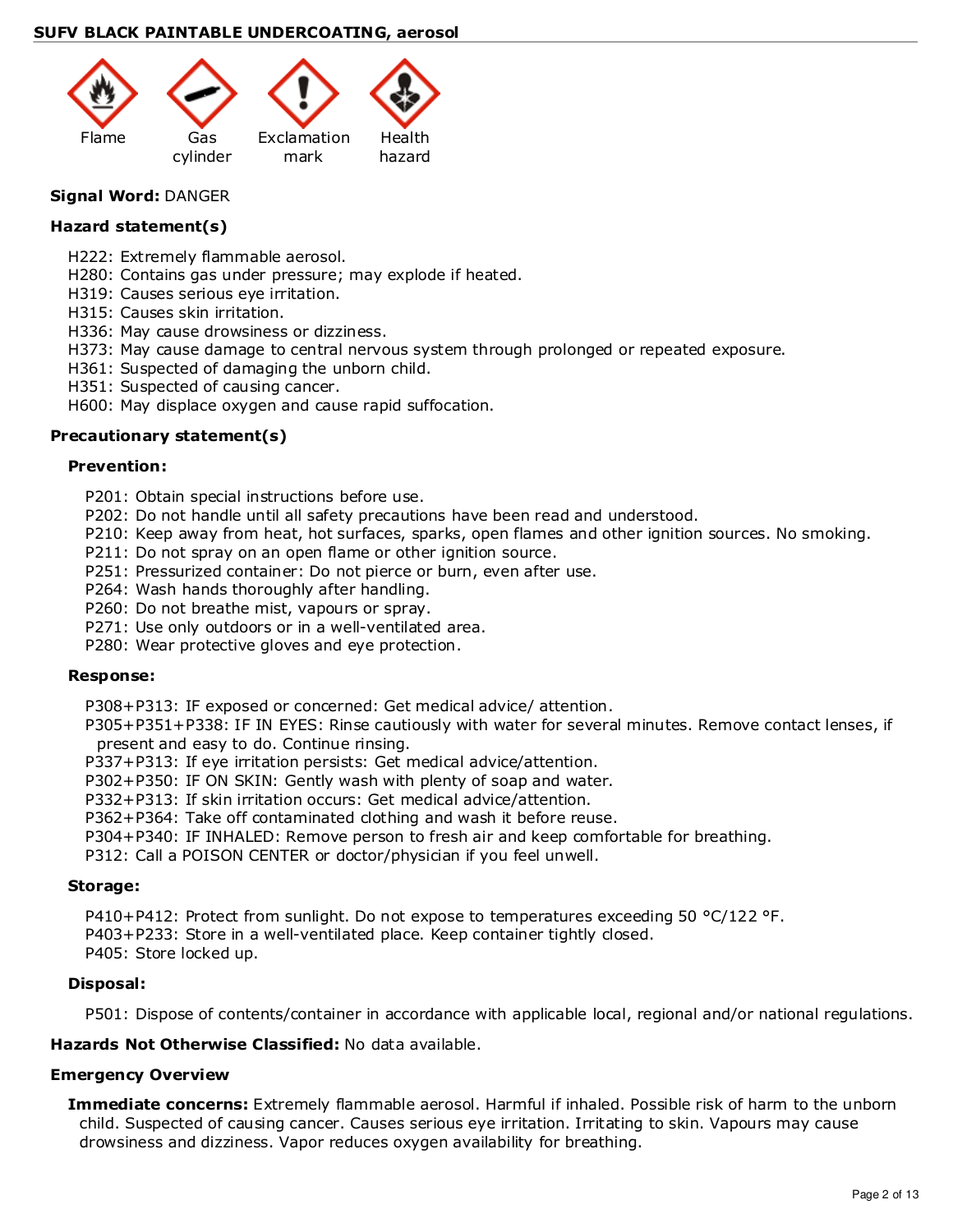

## **Signal Word:** DANGER

#### **Hazard statement(s)**

- H222: Extremely flammable aerosol.
- H280: Contains gas under pressure; may explode if heated.
- H319: Causes serious eye irritation.
- H315: Causes skin irritation.
- H336: May cause drowsiness or dizziness.
- H373: May cause damage to central nervous system through prolonged or repeated exposure.
- H361: Suspected of damaging the unborn child.
- H351: Suspected of causing cancer.
- H600: May displace oxygen and cause rapid suffocation.

## **Precautionary statement(s)**

#### **Prevention:**

- P201: Obtain special instructions before use.
- P202: Do not handle until all safety precautions have been read and understood.
- P210: Keep away from heat, hot surfaces, sparks, open flames and other ignition sources. No smoking.
- P211: Do not spray on an open flame or other ignition source.
- P251: Pressurized container: Do not pierce or burn, even after use.
- P264: Wash hands thoroughly after handling.
- P260: Do not breathe mist, vapours or spray.
- P271: Use only outdoors or in a well-ventilated area.
- P280: Wear protective gloves and eye protection.

#### **Response:**

P308+P313: IF exposed or concerned: Get medical advice/ attention.

P305+P351+P338: IF IN EYES: Rinse cautiously with water for several minutes. Remove contact lenses, if present and easy to do. Continue rinsing.

- P337+P313: If eye irritation persists: Get medical advice/attention.
- P302+P350: IF ON SKIN: Gently wash with plenty of soap and water.
- P332+P313: If skin irritation occurs: Get medical advice/attention.

P362+P364: Take off contaminated clothing and wash it before reuse.

P304+P340: IF INHALED: Remove person to fresh air and keep comfortable for breathing.

P312: Call a POISON CENTER or doctor/physician if you feel unwell.

#### **Storage:**

P410+P412: Protect from sunlight. Do not expose to temperatures exceeding 50 °C/122 °F.

P403+P233: Store in a well-ventilated place. Keep container tightly closed.

P405: Store locked up.

#### **Disposal:**

P501: Dispose of contents/container in accordance with applicable local, regional and/or national regulations.

## **Hazards Not Otherwise Classified:** No data available.

#### **Emergency Overview**

**Immediate concerns:** Extremely flammable aerosol. Harmful if inhaled. Possible risk of harm to the unborn child. Suspected of causing cancer. Causes serious eye irritation. Irritating to skin. Vapours may cause drowsiness and dizziness. Vapor reduces oxygen availability for breathing.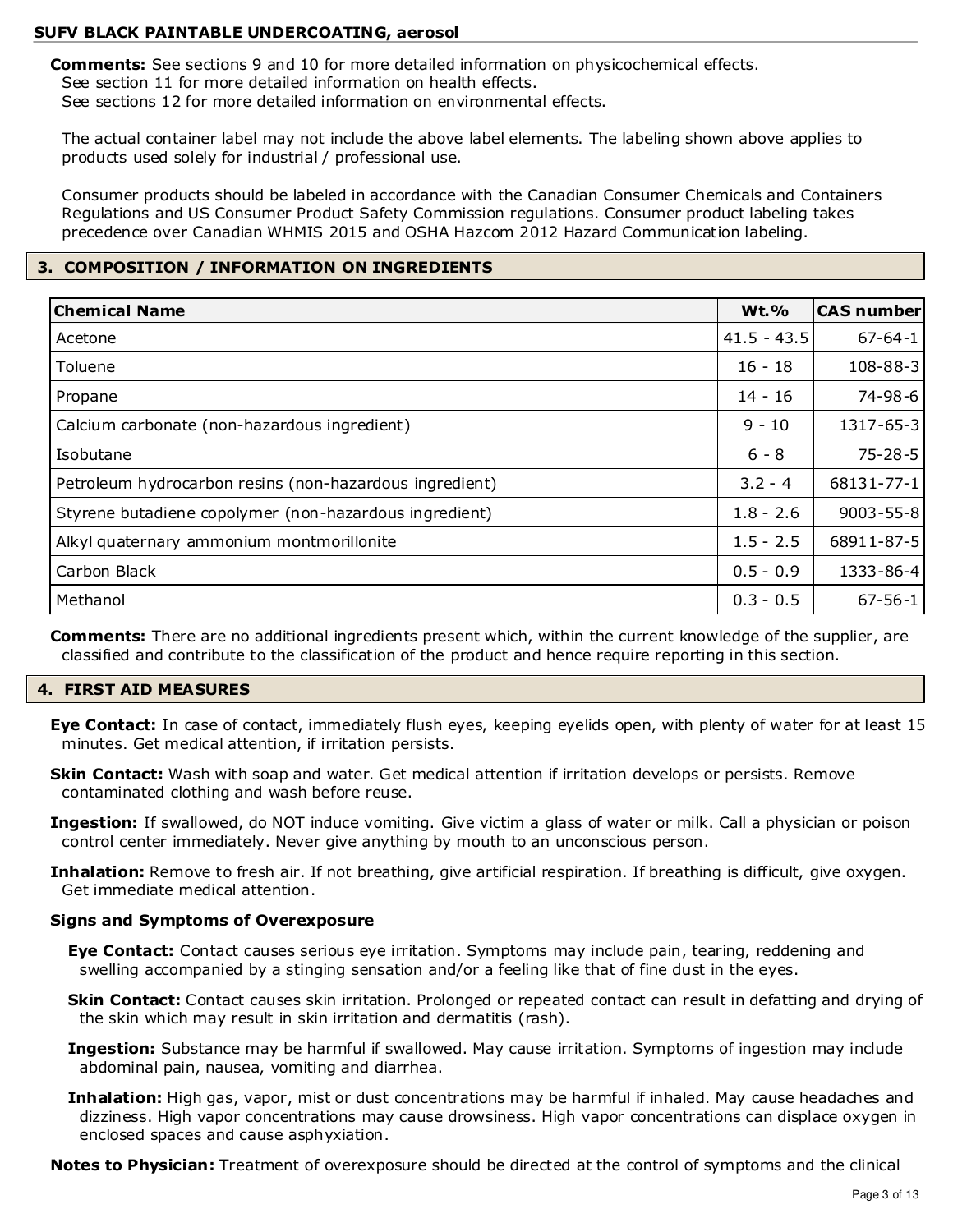**Comments:** See sections 9 and 10 for more detailed information on physicochemical effects. See section 11 for more detailed information on health effects. See sections 12 for more detailed information on environmental effects.

The actual container label may not include the above label elements. The labeling shown above applies to products used solely for industrial / professional use.

Consumer products should be labeled in accordance with the Canadian Consumer Chemicals and Containers Regulations and US Consumer Product Safety Commission regulations. Consumer product labeling takes precedence over Canadian WHMIS 2015 and OSHA Hazcom 2012 Hazard Communication labeling.

## **3. COMPOSITION / INFORMATION ON INGREDIENTS**

| <b>Chemical Name</b>                                    | <b>Wt.%</b>   | <b>CAS number</b> |
|---------------------------------------------------------|---------------|-------------------|
| Acetone                                                 | $41.5 - 43.5$ | $67 - 64 - 1$     |
| Toluene                                                 | $16 - 18$     | 108-88-3          |
| Propane                                                 | $14 - 16$     | 74-98-6           |
| Calcium carbonate (non-hazardous ingredient)            | $9 - 10$      | 1317-65-3         |
| Isobutane                                               | $6 - 8$       | $75 - 28 - 5$     |
| Petroleum hydrocarbon resins (non-hazardous ingredient) | $3.2 - 4$     | 68131-77-1        |
| Styrene butadiene copolymer (non-hazardous ingredient)  | $1.8 - 2.6$   | $9003 - 55 - 8$   |
| Alkyl quaternary ammonium montmorillonite               | $1.5 - 2.5$   | 68911-87-5        |
| Carbon Black                                            | $0.5 - 0.9$   | 1333-86-4         |
| Methanol                                                | $0.3 - 0.5$   | $67 - 56 - 1$     |

**Comments:** There are no additional ingredients present which, within the current knowledge of the supplier, are classified and contribute to the classification of the product and hence require reporting in this section.

## **4. FIRST AID MEASURES**

**Eye Contact:** In case of contact, immediately flush eyes, keeping eyelids open, with plenty of water for at least 15 minutes. Get medical attention, if irritation persists.

**Skin Contact:** Wash with soap and water. Get medical attention if irritation develops or persists. Remove contaminated clothing and wash before reuse.

**Ingestion:** If swallowed, do NOT induce vomiting. Give victim a glass of water or milk. Call a physician or poison control center immediately. Never give anything by mouth to an unconscious person.

**Inhalation:** Remove to fresh air. If not breathing, give artificial respiration. If breathing is difficult, give oxygen. Get immediate medical attention.

#### **Signs and Symptoms of Overexposure**

**Eye Contact:** Contact causes serious eye irritation. Symptoms may include pain, tearing, reddening and swelling accompanied by a stinging sensation and/or a feeling like that of fine dust in the eyes.

**Skin Contact:** Contact causes skin irritation. Prolonged or repeated contact can result in defatting and drying of the skin which may result in skin irritation and dermatitis (rash).

- **Ingestion:** Substance may be harmful if swallowed. May cause irritation. Symptoms of ingestion may include abdominal pain, nausea, vomiting and diarrhea.
- **Inhalation:** High gas, vapor, mist or dust concentrations may be harmful if inhaled. May cause headaches and dizziness. High vapor concentrations may cause drowsiness. High vapor concentrations can displace oxygen in enclosed spaces and cause asphyxiation.

**Notes to Physician:** Treatment of overexposure should be directed at the control of symptoms and the clinical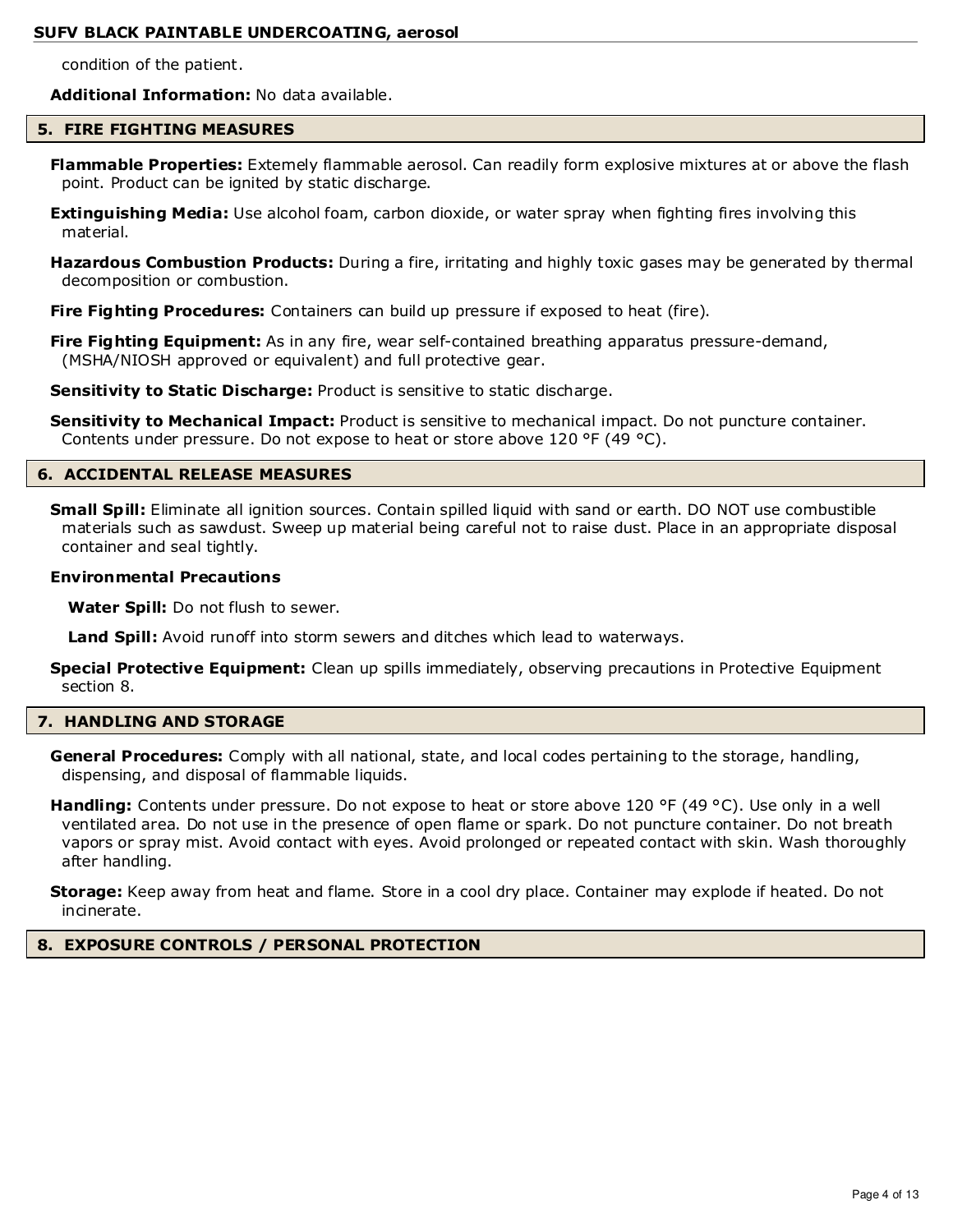condition of the patient.

**Additional Information:** No data available.

#### **5. FIRE FIGHTING MEASURES**

- **Flammable Properties:** Extemely flammable aerosol. Can readily form explosive mixtures at or above the flash point. Product can be ignited by static discharge.
- **Extinguishing Media:** Use alcohol foam, carbon dioxide, or water spray when fighting fires involving this material.
- **Hazardous Combustion Products:** During a fire, irritating and highly toxic gases may be generated by thermal decomposition or combustion.

**Fire Fighting Procedures:** Containers can build up pressure if exposed to heat (fire).

**Fire Fighting Equipment:** As in any fire, wear self-contained breathing apparatus pressure-demand, (MSHA/NIOSH approved or equivalent) and full protective gear.

**Sensitivity to Static Discharge:** Product is sensitive to static discharge.

**Sensitivity to Mechanical Impact:** Product is sensitive to mechanical impact. Do not puncture container. Contents under pressure. Do not expose to heat or store above 120 °F (49 °C).

#### **6. ACCIDENTAL RELEASE MEASURES**

**Small Spill:** Eliminate all ignition sources. Contain spilled liquid with sand or earth. DO NOT use combustible materials such as sawdust. Sweep up material being careful not to raise dust. Place in an appropriate disposal container and seal tightly.

#### **Environmental Precautions**

**Water Spill:** Do not flush to sewer.

**Land Spill:** Avoid runoff into storm sewers and ditches which lead to waterways.

**Special Protective Equipment:** Clean up spills immediately, observing precautions in Protective Equipment section 8.

#### **7. HANDLING AND STORAGE**

**General Procedures:** Comply with all national, state, and local codes pertaining to the storage, handling, dispensing, and disposal of flammable liquids.

**Handling:** Contents under pressure. Do not expose to heat or store above 120 °F (49 °C). Use only in a well ventilated area. Do not use in the presence of open flame or spark. Do not puncture container. Do not breath vapors or spray mist. Avoid contact with eyes. Avoid prolonged or repeated contact with skin. Wash thoroughly after handling.

**Storage:** Keep away from heat and flame. Store in a cool dry place. Container may explode if heated. Do not incinerate.

#### **8. EXPOSURE CONTROLS / PERSONAL PROTECTION**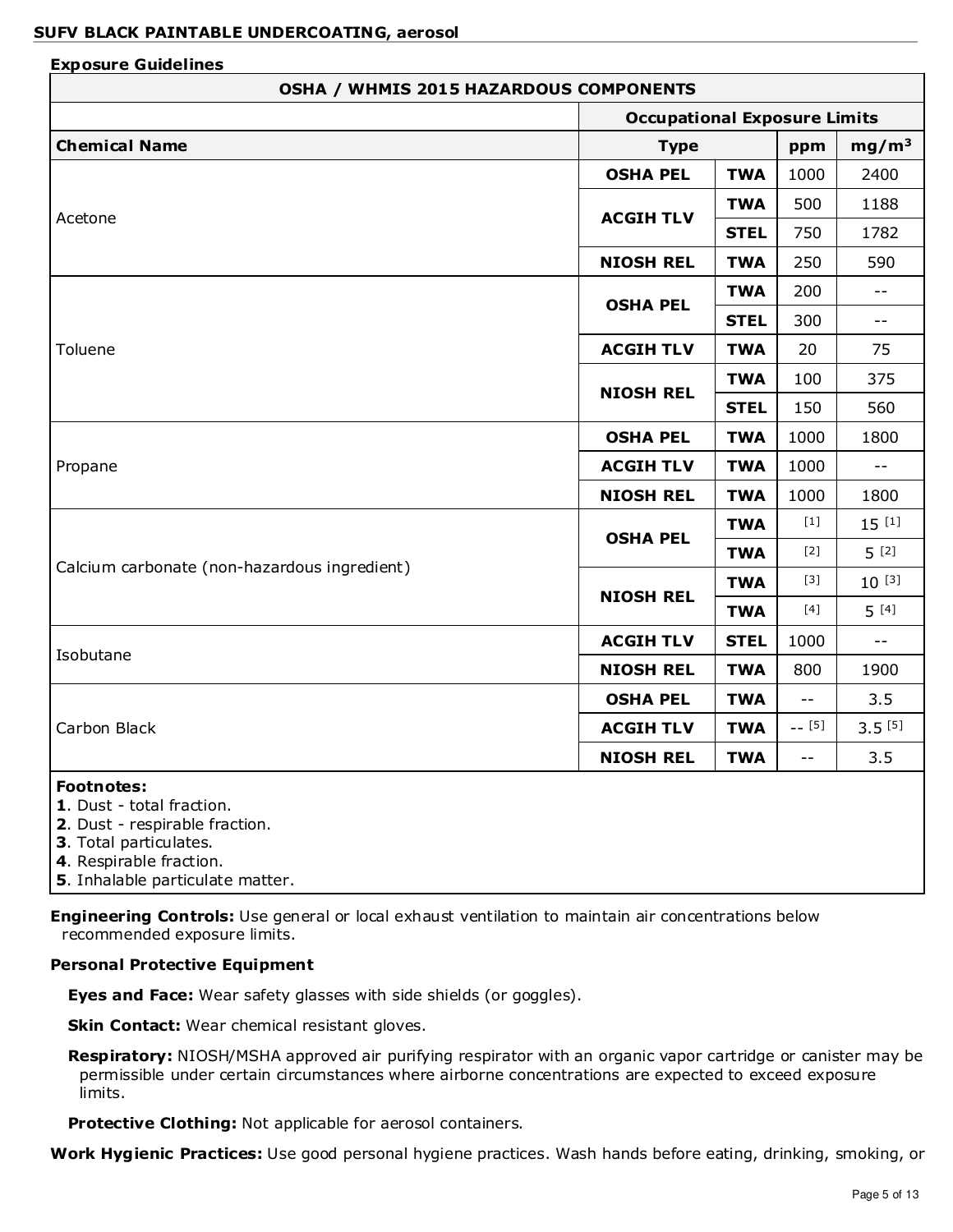| <b>OSHA / WHMIS 2015 HAZARDOUS COMPONENTS</b>                                                                                         |                                     |             |                   |             |
|---------------------------------------------------------------------------------------------------------------------------------------|-------------------------------------|-------------|-------------------|-------------|
|                                                                                                                                       | <b>Occupational Exposure Limits</b> |             |                   |             |
| <b>Chemical Name</b>                                                                                                                  | <b>Type</b><br>ppm                  |             | mg/m <sup>3</sup> |             |
|                                                                                                                                       | <b>OSHA PEL</b>                     | <b>TWA</b>  | 1000              | 2400        |
|                                                                                                                                       |                                     | <b>TWA</b>  | 500               | 1188        |
| Acetone                                                                                                                               | <b>ACGIH TLV</b>                    | <b>STEL</b> | 750               | 1782        |
|                                                                                                                                       | <b>NIOSH REL</b>                    | <b>TWA</b>  | 250               | 590         |
|                                                                                                                                       |                                     | <b>TWA</b>  | 200               | $- -$       |
|                                                                                                                                       | <b>OSHA PEL</b>                     | <b>STEL</b> | 300               | $- -$       |
| Toluene                                                                                                                               | <b>ACGIH TLV</b>                    | <b>TWA</b>  | 20                | 75          |
|                                                                                                                                       |                                     | <b>TWA</b>  | 100               | 375         |
|                                                                                                                                       | <b>NIOSH REL</b>                    | <b>STEL</b> | 150               | 560         |
|                                                                                                                                       | <b>OSHA PEL</b>                     | <b>TWA</b>  | 1000              | 1800        |
| Propane                                                                                                                               | <b>ACGIH TLV</b>                    | <b>TWA</b>  | 1000              | $- -$       |
|                                                                                                                                       | <b>NIOSH REL</b>                    | <b>TWA</b>  | 1000              | 1800        |
|                                                                                                                                       |                                     | <b>TWA</b>  | $[1]$             | $15^{[1]}$  |
|                                                                                                                                       | <b>OSHA PEL</b>                     | <b>TWA</b>  | $[2]$             | $5^{[2]}$   |
| Calcium carbonate (non-hazardous ingredient)                                                                                          |                                     | <b>TWA</b>  | $[3]$             | $10^{[3]}$  |
|                                                                                                                                       | <b>NIOSH REL</b>                    | <b>TWA</b>  | $[4]$             | $5^{[4]}$   |
|                                                                                                                                       | <b>ACGIH TLV</b>                    | <b>STEL</b> | 1000              | $ -$        |
| Isobutane                                                                                                                             | <b>NIOSH REL</b>                    | <b>TWA</b>  | 800               | 1900        |
|                                                                                                                                       | <b>OSHA PEL</b>                     | <b>TWA</b>  | $- -$             | 3.5         |
| Carbon Black                                                                                                                          | <b>ACGIH TLV</b>                    | <b>TWA</b>  | $- - [5]$         | $3.5^{[5]}$ |
|                                                                                                                                       | <b>NIOSH REL</b>                    | <b>TWA</b>  |                   | 3.5         |
| <b>Footnotes:</b><br>1. Dust - total fraction.<br>2. Dust - respirable fraction.<br>3. Total particulates.<br>4. Respirable fraction. |                                     |             |                   |             |

**5**. Inhalable particulate matter.

**Engineering Controls:** Use general or local exhaust ventilation to maintain air concentrations below recommended exposure limits.

#### **Personal Protective Equipment**

**Eyes and Face:** Wear safety glasses with side shields (or goggles).

**Skin Contact:** Wear chemical resistant gloves.

**Respiratory:** NIOSH/MSHA approved air purifying respirator with an organic vapor cartridge or canister may be permissible under certain circumstances where airborne concentrations are expected to exceed exposure limits.

**Protective Clothing:** Not applicable for aerosol containers.

**Work Hygienic Practices:** Use good personal hygiene practices. Wash hands before eating, drinking, smoking, or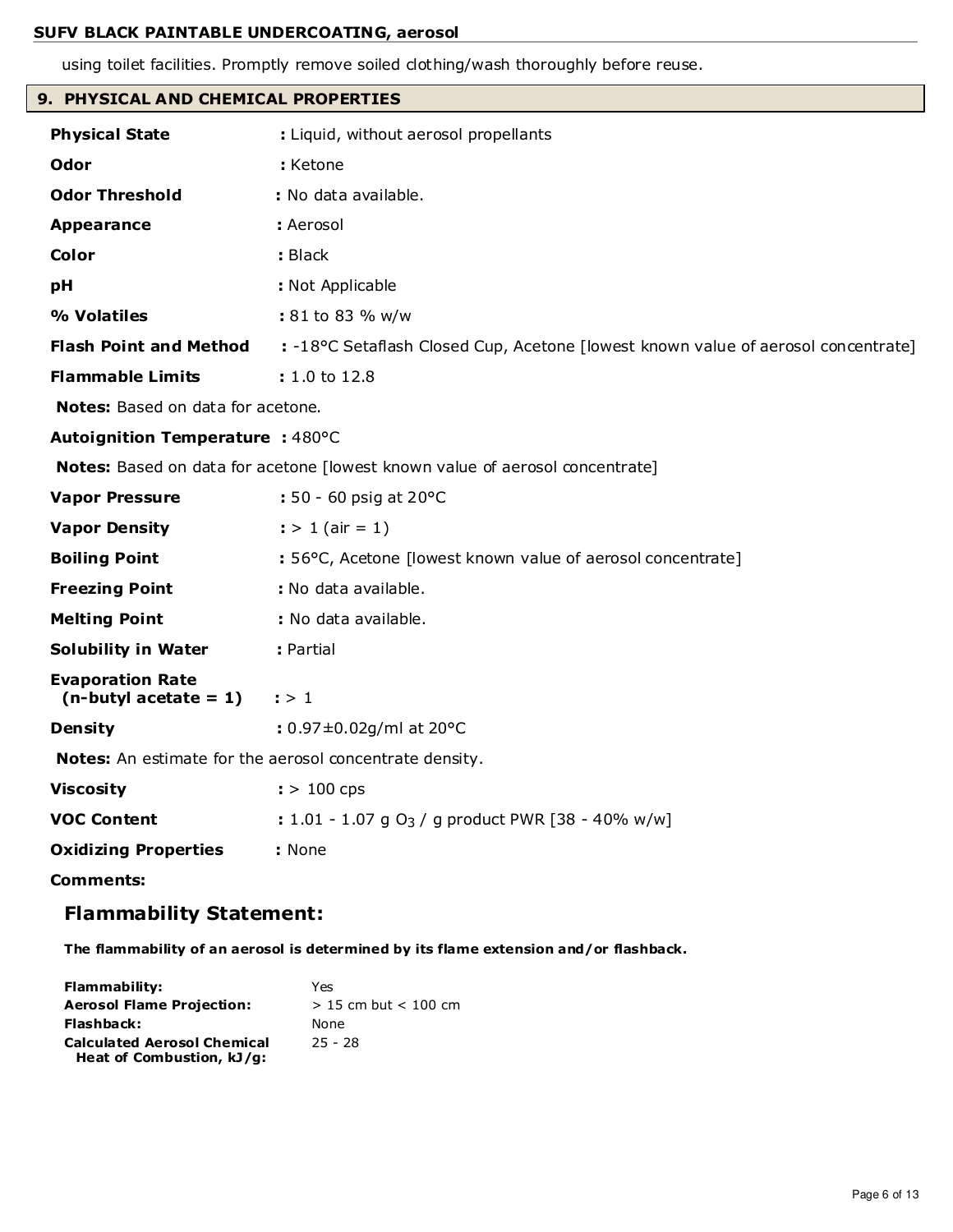using toilet facilities. Promptly remove soiled clothing/wash thoroughly before reuse.

|  |  | 9.PHYSICAL AND CHEMICAL PROPERTIES |
|--|--|------------------------------------|

| <b>Physical State</b>                               | : Liquid, without aerosol propellants                                             |
|-----------------------------------------------------|-----------------------------------------------------------------------------------|
| <b>Odor</b>                                         | : Ketone                                                                          |
| <b>Odor Threshold</b>                               | : No data available.                                                              |
| <b>Appearance</b>                                   | : Aerosol                                                                         |
| Color                                               | : Black                                                                           |
| pH                                                  | : Not Applicable                                                                  |
| % Volatiles                                         | : 81 to 83 % w/w                                                                  |
| <b>Flash Point and Method</b>                       | : -18°C Setaflash Closed Cup, Acetone [lowest known value of aerosol concentrate] |
| <b>Flammable Limits</b>                             | : 1.0 to 12.8                                                                     |
| Notes: Based on data for acetone.                   |                                                                                   |
| Autoignition Temperature : 480°C                    |                                                                                   |
|                                                     | Notes: Based on data for acetone [lowest known value of aerosol concentrate]      |
| <b>Vapor Pressure</b>                               | : 50 - 60 psig at 20°C                                                            |
| <b>Vapor Density</b>                                | $:$ > 1 (air = 1)                                                                 |
| <b>Boiling Point</b>                                | : 56°C, Acetone [lowest known value of aerosol concentrate]                       |
| <b>Freezing Point</b>                               | : No data available.                                                              |
| <b>Melting Point</b>                                | : No data available.                                                              |
| <b>Solubility in Water</b>                          | : Partial                                                                         |
| <b>Evaporation Rate</b><br>$(n$ -butyl acetate = 1) | $\cdot \cdot \cdot 1$                                                             |
| <b>Density</b>                                      | : 0.97±0.02g/ml at 20°C                                                           |
|                                                     | Notes: An estimate for the aerosol concentrate density.                           |
| <b>Viscosity</b>                                    | $:$ > 100 cps                                                                     |
| <b>VOC Content</b>                                  | : 1.01 - 1.07 g O <sub>3</sub> / g product PWR [38 - 40% w/w]                     |
| <b>Oxidizing Properties</b>                         | : None                                                                            |
| <b>Comments:</b>                                    |                                                                                   |

## **Flammability Statement:**

**The flammability of an aerosol is determined by its flame extension and/or flashback.**

| Flammability:                                                   | Yes                      |
|-----------------------------------------------------------------|--------------------------|
| <b>Aerosol Flame Projection:</b>                                | $>$ 15 cm but $<$ 100 cm |
| Flashback:                                                      | None                     |
| <b>Calculated Aerosol Chemical</b><br>Heat of Combustion, kJ/g: | $25 - 28$                |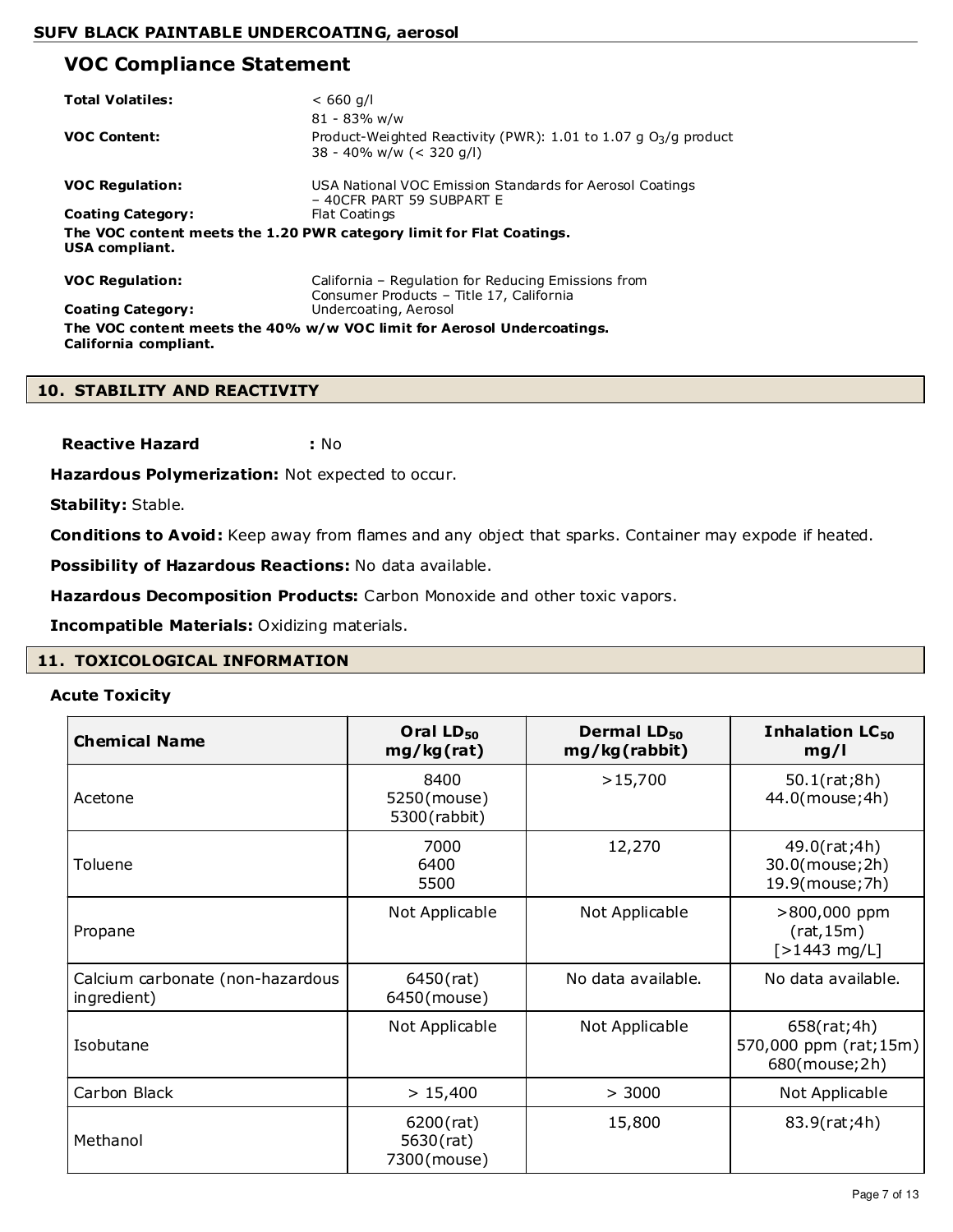## **VOC Compliance Statement**

| <b>Total Volatiles:</b>  | $< 660$ q/l<br>81 - 83% w/w                                                                         |
|--------------------------|-----------------------------------------------------------------------------------------------------|
| <b>VOC Content:</b>      | Product-Weighted Reactivity (PWR): $1.01$ to $1.07$ g $O3/g$ product<br>$38 - 40\%$ w/w (< 320 g/l) |
| <b>VOC Regulation:</b>   | USA National VOC Emission Standards for Aerosol Coatings<br>- 40CFR PART 59 SUBPART E               |
| <b>Coating Category:</b> | Flat Coatings                                                                                       |
| USA compliant.           | The VOC content meets the 1.20 PWR category limit for Flat Coatings.                                |
| <b>VOC Regulation:</b>   | California - Regulation for Reducing Emissions from<br>Consumer Products - Title 17, California     |
| <b>Coating Category:</b> | Undercoating, Aerosol                                                                               |
| California compliant.    | The VOC content meets the 40% w/w VOC limit for Aerosol Undercoatings.                              |

#### **10. STABILITY AND REACTIVITY**

**Reactive Hazard :** No

**Hazardous Polymerization:** Not expected to occur.

**Stability:** Stable.

**Conditions to Avoid:** Keep away from flames and any object that sparks. Container may expode if heated.

**Possibility of Hazardous Reactions:** No data available.

**Hazardous Decomposition Products:** Carbon Monoxide and other toxic vapors.

**Incompatible Materials:** Oxidizing materials.

## **11. TOXICOLOGICAL INFORMATION**

#### **Acute Toxicity**

| <b>Chemical Name</b>                            | Oral LD <sub>50</sub><br>mg/kg(rat)      | Dermal LD <sub>50</sub><br>mg/kg(rabbit) | Inhalation LC <sub>50</sub><br>mg/l                   |
|-------------------------------------------------|------------------------------------------|------------------------------------------|-------------------------------------------------------|
| Acetone                                         | 8400<br>5250(mouse)<br>5300(rabbit)      | >15,700                                  | 50.1(rat;8h)<br>44.0(mouse;4h)                        |
| Toluene                                         | 7000<br>6400<br>5500                     | 12,270                                   | 49.0(rat;4h)<br>30.0(mouse;2h)<br>19.9(mouse;7h)      |
| Propane                                         | Not Applicable                           | Not Applicable                           | >800,000 ppm<br>(rat, 15m)<br>$[>1443 \text{ mg/L}]$  |
| Calcium carbonate (non-hazardous<br>ingredient) | 6450(rat)<br>6450(mouse)                 | No data available.                       | No data available.                                    |
| Isobutane                                       | Not Applicable                           | Not Applicable                           | 658(rat;4h)<br>570,000 ppm (rat;15m)<br>680(mouse;2h) |
| Carbon Black                                    | > 15,400                                 | > 3000                                   | Not Applicable                                        |
| Methanol                                        | $6200$ (rat)<br>5630(rat)<br>7300(mouse) | 15,800                                   | 83.9(rat;4h)                                          |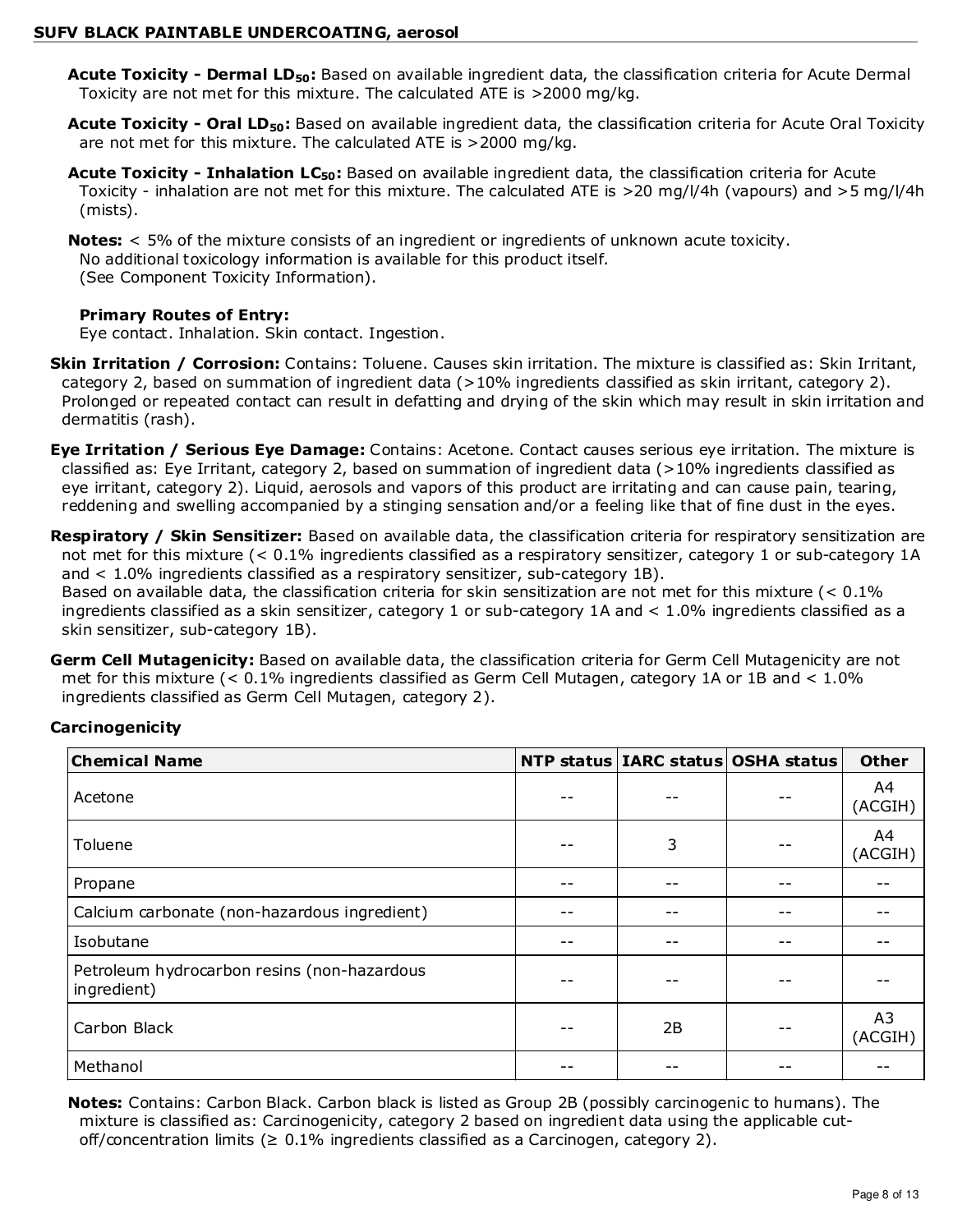- **Acute Toxicity Dermal LD50:** Based on available ingredient data, the classification criteria for Acute Dermal Toxicity are not met for this mixture. The calculated ATE is >2000 mg/kg.
- **Acute Toxicity Oral LD50:** Based on available ingredient data, the classification criteria for Acute Oral Toxicity are not met for this mixture. The calculated ATE is >2000 mg/kg.
- **Acute Toxicity Inhalation LC50:** Based on available ingredient data, the classification criteria for Acute Toxicity - inhalation are not met for this mixture. The calculated ATE is >20 mg/l/4h (vapours) and >5 mg/l/4h (mists).
- **Notes:** < 5% of the mixture consists of an ingredient or ingredients of unknown acute toxicity. No additional toxicology information is available for this product itself. (See Component Toxicity Information).

## **Primary Routes of Entry:**

Eye contact. Inhalation. Skin contact. Ingestion.

- **Skin Irritation / Corrosion:** Contains: Toluene. Causes skin irritation. The mixture is classified as: Skin Irritant, category 2, based on summation of ingredient data (>10% ingredients classified as skin irritant, category 2). Prolonged or repeated contact can result in defatting and drying of the skin which may result in skin irritation and dermatitis (rash).
- **Eye Irritation / Serious Eye Damage:** Contains: Acetone. Contact causes serious eye irritation. The mixture is classified as: Eye Irritant, category 2, based on summation of ingredient data (>10% ingredients classified as eye irritant, category 2). Liquid, aerosols and vapors of this product are irritating and can cause pain, tearing, reddening and swelling accompanied by a stinging sensation and/or a feeling like that of fine dust in the eyes.
- **Respiratory / Skin Sensitizer:** Based on available data, the classification criteria for respiratory sensitization are not met for this mixture (< 0.1% ingredients classified as a respiratory sensitizer, category 1 or sub-category 1A and < 1.0% ingredients classified as a respiratory sensitizer, sub-category 1B).

Based on available data, the classification criteria for skin sensitization are not met for this mixture (< 0.1% ingredients classified as a skin sensitizer, category 1 or sub-category 1A and < 1.0% ingredients classified as a skin sensitizer, sub-category 1B).

**Germ Cell Mutagenicity:** Based on available data, the classification criteria for Germ Cell Mutagenicity are not met for this mixture (< 0.1% ingredients classified as Germ Cell Mutagen, category 1A or 1B and < 1.0% ingredients classified as Germ Cell Mutagen, category 2).

## **Carcinogenicity**

| <b>Chemical Name</b>                                       |      | NTP status   IARC status   OSHA status | <b>Other</b>  |
|------------------------------------------------------------|------|----------------------------------------|---------------|
| Acetone                                                    |      |                                        | A4<br>(ACGIH) |
| Toluene                                                    | 3    |                                        | A4<br>(ACGIH) |
| Propane                                                    |      |                                        |               |
| Calcium carbonate (non-hazardous ingredient)               | $ -$ | --                                     |               |
| Isobutane                                                  |      |                                        |               |
| Petroleum hydrocarbon resins (non-hazardous<br>ingredient) | --   | --                                     |               |
| Carbon Black                                               | 2B   |                                        | A3<br>(ACGIH) |
| Methanol                                                   |      |                                        |               |

**Notes:** Contains: Carbon Black. Carbon black is listed as Group 2B (possibly carcinogenic to humans). The mixture is classified as: Carcinogenicity, category 2 based on ingredient data using the applicable cutoff/concentration limits ( $\geq 0.1\%$  ingredients classified as a Carcinogen, category 2).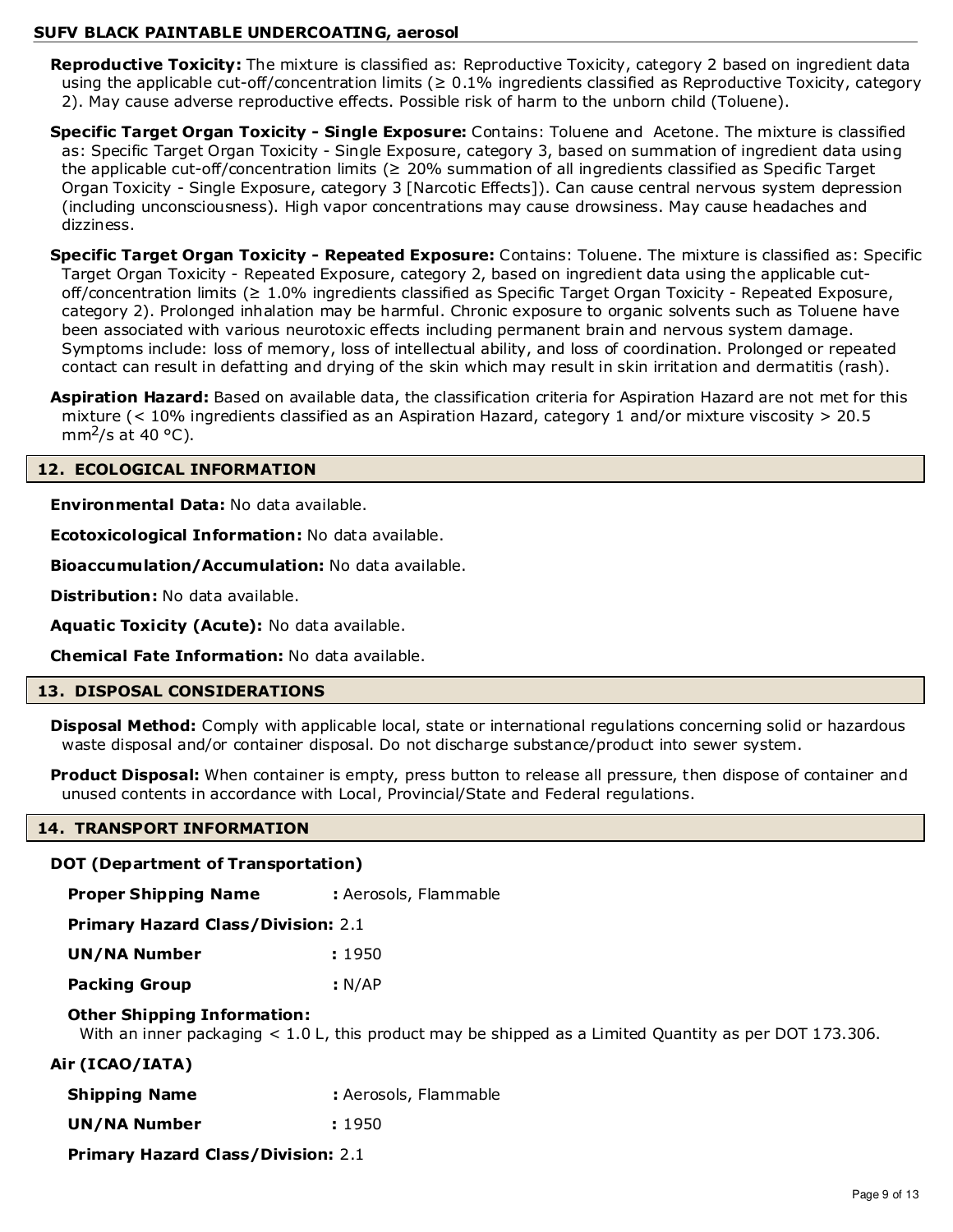**Reproductive Toxicity:** The mixture is classified as: Reproductive Toxicity, category 2 based on ingredient data using the applicable cut-off/concentration limits ( $\geq 0.1\%$  ingredients classified as Reproductive Toxicity, category 2). May cause adverse reproductive effects. Possible risk of harm to the unborn child (Toluene).

**Specific Target Organ Toxicity - Single Exposure:** Contains: Toluene and Acetone. The mixture is classified as: Specific Target Organ Toxicity - Single Exposure, category 3, based on summation of ingredient data using the applicable cut-off/concentration limits (≥ 20% summation of all ingredients classified as Specific Target Organ Toxicity - Single Exposure, category 3 [Narcotic Effects]). Can cause central nervous system depression (including unconsciousness). High vapor concentrations may cause drowsiness. May cause headaches and dizziness.

**Specific Target Organ Toxicity - Repeated Exposure:** Contains: Toluene. The mixture is classified as: Specific Target Organ Toxicity - Repeated Exposure, category 2, based on ingredient data using the applicable cutoff/concentration limits (≥ 1.0% ingredients classified as Specific Target Organ Toxicity - Repeated Exposure, category 2). Prolonged inhalation may be harmful. Chronic exposure to organic solvents such as Toluene have been associated with various neurotoxic effects including permanent brain and nervous system damage. Symptoms include: loss of memory, loss of intellectual ability, and loss of coordination. Prolonged or repeated contact can result in defatting and drying of the skin which may result in skin irritation and dermatitis (rash).

**Aspiration Hazard:** Based on available data, the classification criteria for Aspiration Hazard are not met for this mixture (< 10% ingredients classified as an Aspiration Hazard, category 1 and/or mixture viscosity > 20.5 mm<sup>2</sup>/s at 40  $^{\circ}$ C).

## **12. ECOLOGICAL INFORMATION**

**Environmental Data:** No data available.

**Ecotoxicological Information:** No data available.

**Bioaccumulation/Accumulation:** No data available.

**Distribution:** No data available.

**Aquatic Toxicity (Acute):** No data available.

**Chemical Fate Information:** No data available.

#### **13. DISPOSAL CONSIDERATIONS**

**Disposal Method:** Comply with applicable local, state or international regulations concerning solid or hazardous waste disposal and/or container disposal. Do not discharge substance/product into sewer system.

**Product Disposal:** When container is empty, press button to release all pressure, then dispose of container and unused contents in accordance with Local, Provincial/State and Federal regulations.

#### **14. TRANSPORT INFORMATION**

#### **DOT (Department of Transportation)**

**Proper Shipping Name : Aerosols, Flammable** 

**Primary Hazard Class/Division:** 2.1

| <b>UN/NA Number</b>  | : 1950 |
|----------------------|--------|
| <b>Packing Group</b> | : N/AP |

## **Other Shipping Information:**

With an inner packaging < 1.0 L, this product may be shipped as a Limited Quantity as per DOT 173.306.

## **Air (ICAO/IATA)**

| <b>Shipping Name</b> | : Aerosols, Flammable |
|----------------------|-----------------------|
|----------------------|-----------------------|

**UN/NA Number :** 1950

**Primary Hazard Class/Division:** 2.1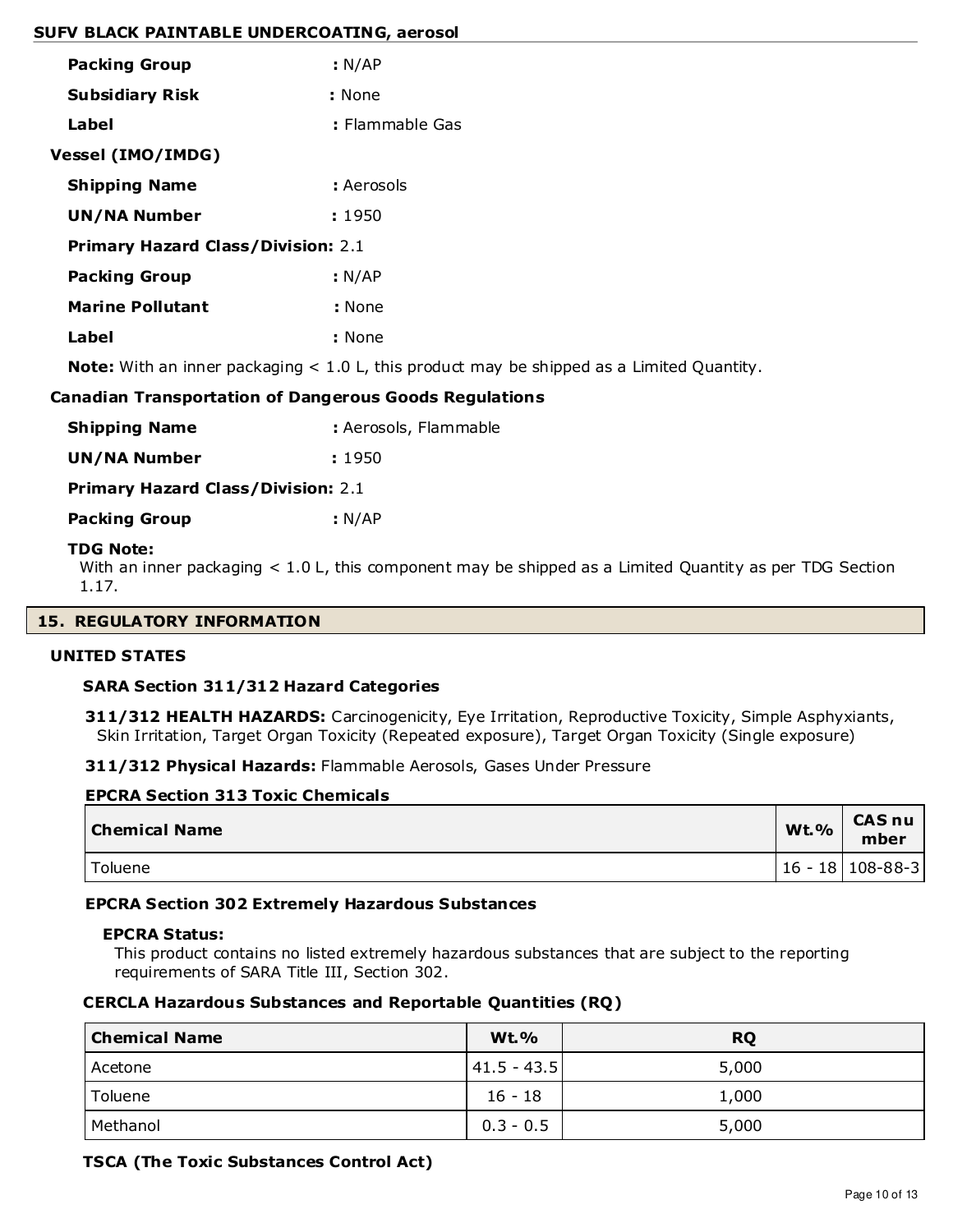| <b>Packing Group</b>                      | : N/AP          |
|-------------------------------------------|-----------------|
| <b>Subsidiary Risk</b>                    | : None          |
| Label                                     | : Flammable Gas |
| Vessel (IMO/IMDG)                         |                 |
| <b>Shipping Name</b>                      | : Aerosols      |
| UN/NA Number                              | : 1950          |
| <b>Primary Hazard Class/Division: 2.1</b> |                 |
| <b>Packing Group</b>                      | : N/AP          |
| <b>Marine Pollutant</b>                   | : None          |
| Label                                     | : None          |
|                                           |                 |

**Note:** With an inner packaging < 1.0 L, this product may be shipped as a Limited Quantity.

#### **Canadian Transportation of Dangerous Goods Regulations**

| Shipping Name | : Aerosols, Flammable |
|---------------|-----------------------|
|---------------|-----------------------|

**UN/NA Number :** 1950

**Primary Hazard Class/Division:** 2.1

**Packing Group : N/AP** 

#### **TDG Note:**

With an inner packaging < 1.0 L, this component may be shipped as a Limited Quantity as per TDG Section 1.17.

#### **15. REGULATORY INFORMATION**

#### **UNITED STATES**

#### **SARA Section 311/312 Hazard Categories**

**311/312 HEALTH HAZARDS:** Carcinogenicity, Eye Irritation, Reproductive Toxicity, Simple Asphyxiants, Skin Irritation, Target Organ Toxicity (Repeated exposure), Target Organ Toxicity (Single exposure)

**311/312 Physical Hazards:** Flammable Aerosols, Gases Under Pressure

| <b>EPCRA Section 313 Toxic Chemicals</b> |      |                       |
|------------------------------------------|------|-----------------------|
| <b>Chemical Name</b>                     | Wt.% | <b>CAS nu</b><br>mber |
| Toluene                                  |      | 16 - 18   108-88-3    |

#### **EPCRA Section 302 Extremely Hazardous Substances**

#### **EPCRA Status:**

This product contains no listed extremely hazardous substances that are subject to the reporting requirements of SARA Title III, Section 302.

#### **CERCLA Hazardous Substances and Reportable Quantities (RQ)**

| <b>Chemical Name</b> | <b>Wt.%</b>     | <b>RQ</b> |
|----------------------|-----------------|-----------|
| Acetone              | $ 41.5 - 43.5 $ | 5,000     |
| Toluene              | $16 - 18$       | 1,000     |
| Methanol             | $0.3 - 0.5$     | 5,000     |

#### **TSCA (The Toxic Substances Control Act)**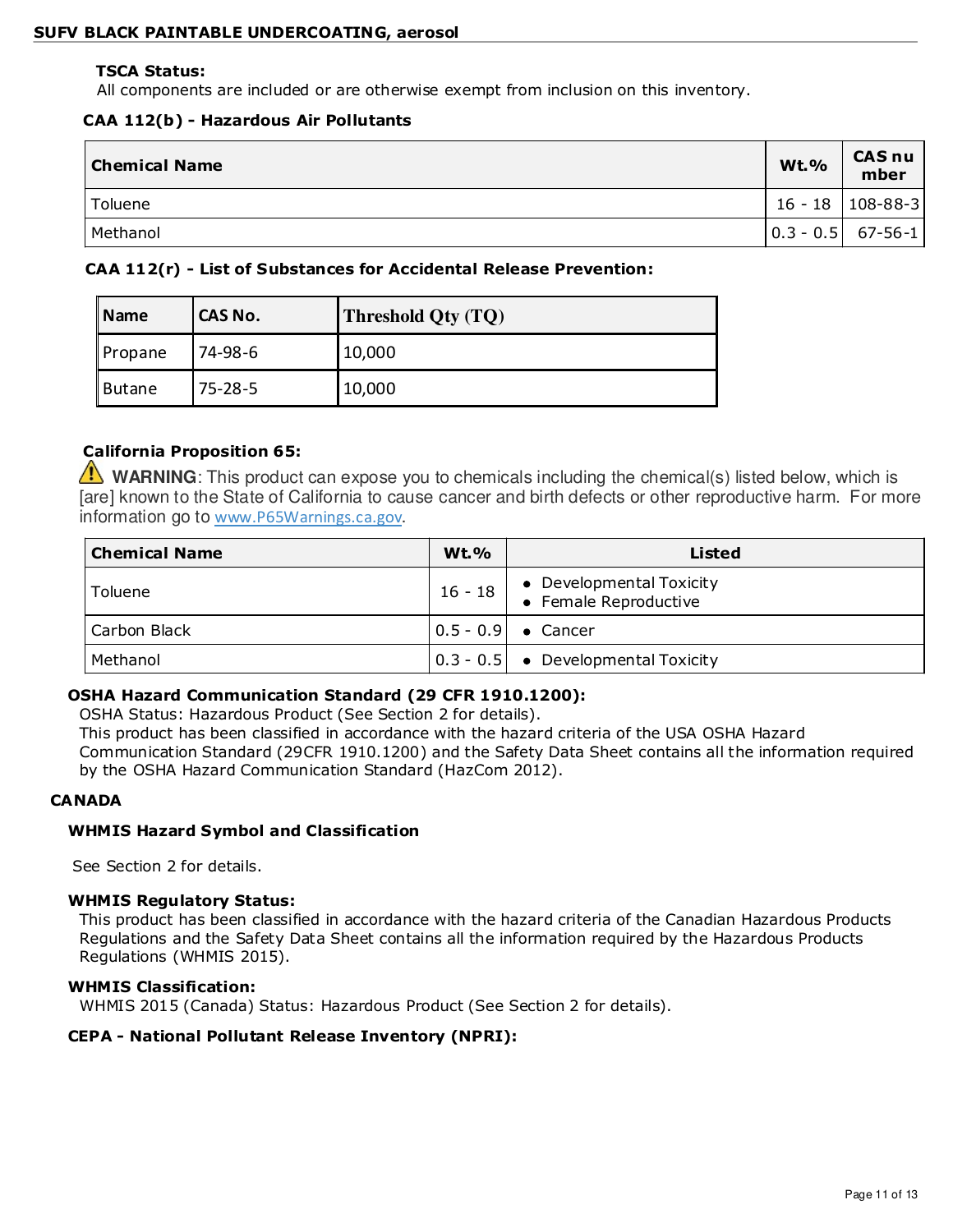#### **TSCA Status:**

All components are included or are otherwise exempt from inclusion on this inventory.

## **CAA 112(b) - Hazardous Air Pollutants**

| Chemical Name | <b>Wt.%</b> | <b>CAS nu</b><br>mber                             |
|---------------|-------------|---------------------------------------------------|
| l Toluene     |             | $16 - 18$   108-88-3                              |
| Methanol      |             | $\begin{bmatrix} 0.3 - 0.5 \end{bmatrix}$ 67-56-1 |

## **CAA 112(r) - List of Substances for Accidental Release Prevention:**

| <b>Name</b> | CAS No.       | Threshold Qty (TQ) |
|-------------|---------------|--------------------|
| Propane     | 74-98-6       | 10,000             |
| Butane      | $75 - 28 - 5$ | 10,000             |

## **California Proposition 65:**

WARNING: This product can expose you to chemicals including the chemical(s) listed below, which is [are] known to the State of California to cause cancer and birth defects or other reproductive harm. For more information go to www.P65Warnings.ca.gov.

| <b>Chemical Name</b> | <b>Wt.%</b> | Listed                                            |
|----------------------|-------------|---------------------------------------------------|
| Toluene              | $16 - 18$   | • Developmental Toxicity<br>• Female Reproductive |
| Carbon Black         |             | $ 0.5 - 0.9 $ $\bullet$ Cancer                    |
| Methanol             |             | $\vert 0.3 - 0.5 \vert$ • Developmental Toxicity  |

## **OSHA Hazard Communication Standard (29 CFR 1910.1200):**

OSHA Status: Hazardous Product (See Section 2 for details).

This product has been classified in accordance with the hazard criteria of the USA OSHA Hazard Communication Standard (29CFR 1910.1200) and the Safety Data Sheet contains all the information required by the OSHA Hazard Communication Standard (HazCom 2012).

## **CANADA**

## **WHMIS Hazard Symbol and Classification**

See Section 2 for details.

## **WHMIS Regulatory Status:**

This product has been classified in accordance with the hazard criteria of the Canadian Hazardous Products Regulations and the Safety Data Sheet contains all the information required by the Hazardous Products Regulations (WHMIS 2015).

#### **WHMIS Classification:**

WHMIS 2015 (Canada) Status: Hazardous Product (See Section 2 for details).

## **CEPA - National Pollutant Release Inventory (NPRI):**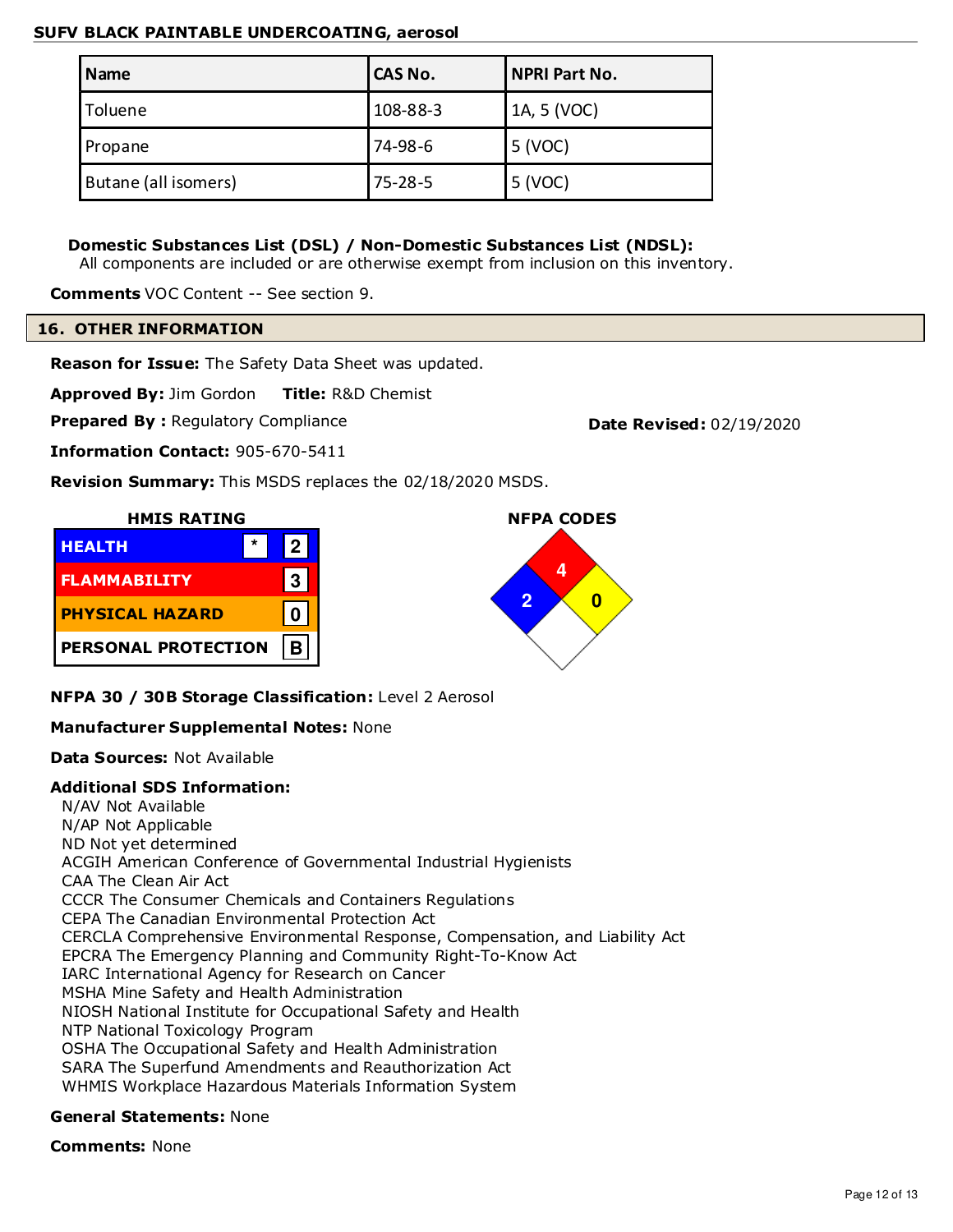| <b>Name</b>          | CAS No.       | <b>NPRI Part No.</b> |
|----------------------|---------------|----------------------|
| Toluene              | 108-88-3      | 1A, 5 (VOC)          |
| Propane              | 74-98-6       | 5 (VOC)              |
| Butane (all isomers) | $75 - 28 - 5$ | 5 (VOC)              |

## **Domestic Substances List (DSL) / Non-Domestic Substances List (NDSL):**

All components are included or are otherwise exempt from inclusion on this inventory.

**Comments** VOC Content -- See section 9.

#### **16. OTHER INFORMATION**

**Reason for Issue:** The Safety Data Sheet was updated.

**Approved By:** Jim Gordon **Title:** R&D Chemist

**Prepared By: Regulatory Compliance <b>Date Revised:** 02/19/2020

**Information Contact:** 905-670-5411

**Revision Summary:** This MSDS replaces the 02/18/2020 MSDS.

# **HMIS RATING**





**NFPA 30 / 30B Storage Classification:** Level 2 Aerosol

## **Manufacturer Supplemental Notes:** None

**Data Sources:** Not Available

## **Additional SDS Information:**

N/AV Not Available N/AP Not Applicable ND Not yet determined ACGIH American Conference of Governmental Industrial Hygienists CAA The Clean Air Act CCCR The Consumer Chemicals and Containers Regulations CEPA The Canadian Environmental Protection Act CERCLA Comprehensive Environmental Response, Compensation, and Liability Act EPCRA The Emergency Planning and Community Right-To-Know Act IARC International Agency for Research on Cancer MSHA Mine Safety and Health Administration NIOSH National Institute for Occupational Safety and Health NTP National Toxicology Program OSHA The Occupational Safety and Health Administration SARA The Superfund Amendments and Reauthorization Act WHMIS Workplace Hazardous Materials Information System

## **General Statements:** None

**Comments:** None